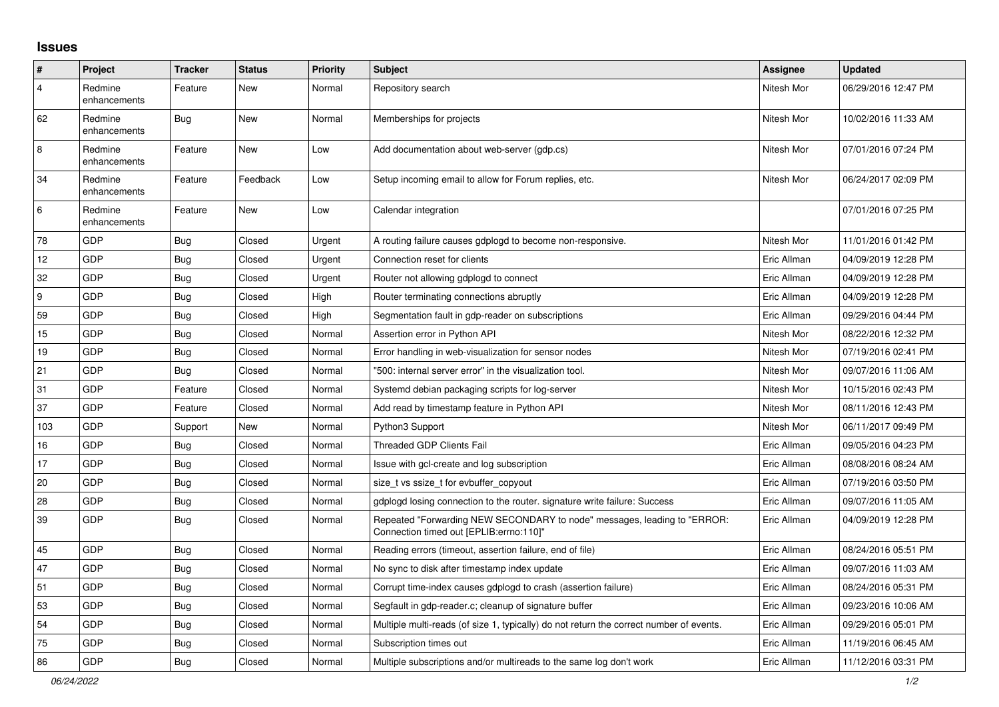## **Issues**

| ∦              | Project                 | <b>Tracker</b> | <b>Status</b> | <b>Priority</b> | <b>Subject</b>                                                                                                      | Assignee    | <b>Updated</b>      |
|----------------|-------------------------|----------------|---------------|-----------------|---------------------------------------------------------------------------------------------------------------------|-------------|---------------------|
| $\overline{4}$ | Redmine<br>enhancements | Feature        | New           | Normal          | Repository search                                                                                                   | Nitesh Mor  | 06/29/2016 12:47 PM |
| 62             | Redmine<br>enhancements | Bug            | New           | Normal          | Memberships for projects                                                                                            | Nitesh Mor  | 10/02/2016 11:33 AM |
| $\,8\,$        | Redmine<br>enhancements | Feature        | New           | Low             | Add documentation about web-server (gdp.cs)                                                                         | Nitesh Mor  | 07/01/2016 07:24 PM |
| 34             | Redmine<br>enhancements | Feature        | Feedback      | Low             | Setup incoming email to allow for Forum replies, etc.                                                               | Nitesh Mor  | 06/24/2017 02:09 PM |
| 6              | Redmine<br>enhancements | Feature        | <b>New</b>    | Low             | Calendar integration                                                                                                |             | 07/01/2016 07:25 PM |
| 78             | GDP                     | Bug            | Closed        | Urgent          | A routing failure causes gdplogd to become non-responsive.                                                          | Nitesh Mor  | 11/01/2016 01:42 PM |
| 12             | GDP                     | Bug            | Closed        | Urgent          | Connection reset for clients                                                                                        | Eric Allman | 04/09/2019 12:28 PM |
| 32             | GDP                     | Bug            | Closed        | Urgent          | Router not allowing gdplogd to connect                                                                              | Eric Allman | 04/09/2019 12:28 PM |
| 9              | GDP                     | Bug            | Closed        | High            | Router terminating connections abruptly                                                                             | Eric Allman | 04/09/2019 12:28 PM |
| 59             | GDP                     | <b>Bug</b>     | Closed        | High            | Segmentation fault in gdp-reader on subscriptions                                                                   | Eric Allman | 09/29/2016 04:44 PM |
| 15             | GDP                     | Bug            | Closed        | Normal          | Assertion error in Python API                                                                                       | Nitesh Mor  | 08/22/2016 12:32 PM |
| 19             | GDP                     | Bug            | Closed        | Normal          | Error handling in web-visualization for sensor nodes                                                                | Nitesh Mor  | 07/19/2016 02:41 PM |
| 21             | GDP                     | Bug            | Closed        | Normal          | '500: internal server error" in the visualization tool.                                                             | Nitesh Mor  | 09/07/2016 11:06 AM |
| 31             | GDP                     | Feature        | Closed        | Normal          | Systemd debian packaging scripts for log-server                                                                     | Nitesh Mor  | 10/15/2016 02:43 PM |
| 37             | GDP                     | Feature        | Closed        | Normal          | Add read by timestamp feature in Python API                                                                         | Nitesh Mor  | 08/11/2016 12:43 PM |
| 103            | GDP                     | Support        | New           | Normal          | Python3 Support                                                                                                     | Nitesh Mor  | 06/11/2017 09:49 PM |
| 16             | <b>GDP</b>              | <b>Bug</b>     | Closed        | Normal          | Threaded GDP Clients Fail                                                                                           | Eric Allman | 09/05/2016 04:23 PM |
| 17             | GDP                     | Bug            | Closed        | Normal          | Issue with gcl-create and log subscription                                                                          | Eric Allman | 08/08/2016 08:24 AM |
| 20             | GDP                     | <b>Bug</b>     | Closed        | Normal          | size t vs ssize t for evbuffer copyout                                                                              | Eric Allman | 07/19/2016 03:50 PM |
| 28             | GDP                     | Bug            | Closed        | Normal          | gdplogd losing connection to the router, signature write failure: Success                                           | Eric Allman | 09/07/2016 11:05 AM |
| 39             | GDP                     | Bug            | Closed        | Normal          | Repeated "Forwarding NEW SECONDARY to node" messages, leading to "ERROR:<br>Connection timed out [EPLIB:errno:110]" | Eric Allman | 04/09/2019 12:28 PM |
| 45             | GDP                     | Bug            | Closed        | Normal          | Reading errors (timeout, assertion failure, end of file)                                                            | Eric Allman | 08/24/2016 05:51 PM |
| 47             | GDP                     | Bug            | Closed        | Normal          | No sync to disk after timestamp index update                                                                        | Eric Allman | 09/07/2016 11:03 AM |
| 51             | GDP                     | Bug            | Closed        | Normal          | Corrupt time-index causes gdplogd to crash (assertion failure)                                                      | Eric Allman | 08/24/2016 05:31 PM |
| 53             | GDP                     | <b>Bug</b>     | Closed        | Normal          | Segfault in gdp-reader.c; cleanup of signature buffer                                                               | Eric Allman | 09/23/2016 10:06 AM |
| 54             | GDP                     | Bug            | Closed        | Normal          | Multiple multi-reads (of size 1, typically) do not return the correct number of events.                             | Eric Allman | 09/29/2016 05:01 PM |
| 75             | <b>GDP</b>              | Bug            | Closed        | Normal          | Subscription times out                                                                                              | Eric Allman | 11/19/2016 06:45 AM |
| 86             | GDP                     | <b>Bug</b>     | Closed        | Normal          | Multiple subscriptions and/or multireads to the same log don't work                                                 | Eric Allman | 11/12/2016 03:31 PM |